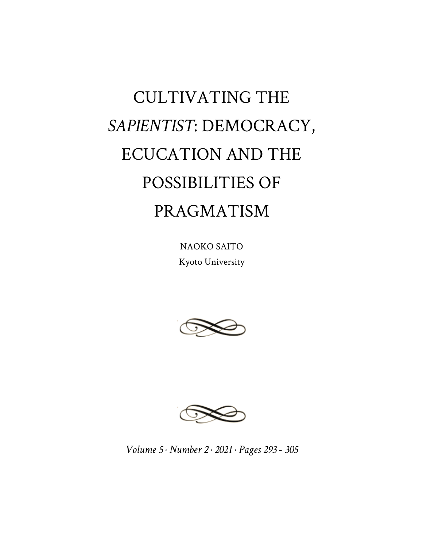# CULTIVATING THE *SAPIENTIST*: DEMOCRACY, ECUCATION AND THE POSSIBILITIES OF PRAGMATISM

NAOKO SAITO Kyoto University





*Volume 5 · Number 2 · 2021 · Pages 293 - 305*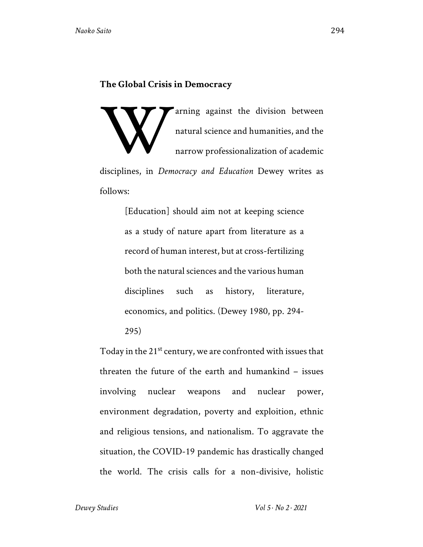### **The Global Crisis in Democracy**

arning against the division between natural science and humanities, and the narrow professionalization of academic disciplines, in *Democracy and Education* Dewey writes as follows: W

> [Education] should aim not at keeping science as a study of nature apart from literature as a record of human interest, but at cross-fertilizing both the natural sciences and the various human disciplines such as history, literature, economics, and politics. (Dewey 1980, pp. 294- 295)

Today in the 21<sup>st</sup> century, we are confronted with issues that threaten the future of the earth and humankind – issues involving nuclear weapons and nuclear power, environment degradation, poverty and exploition, ethnic and religious tensions, and nationalism. To aggravate the situation, the COVID-19 pandemic has drastically changed the world. The crisis calls for a non-divisive, holistic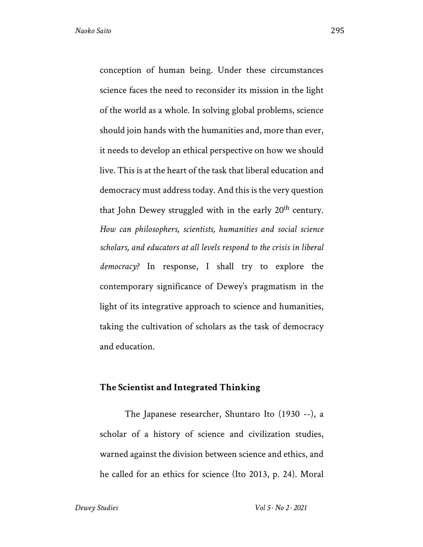conception of human being. Under these circumstances science faces the need to reconsider its mission in the light of the world as a whole. In solving global problems, science should join hands with the humanities and, more than ever, it needs to develop an ethical perspective on how we should live. This is at the heart of the task that liberal education and democracy must address today. And this is the very question that John Dewey struggled with in the early 20<sup>th</sup> century. *How can philosophers, scientists, humanities and social science scholars, and educators at all levels respond to the crisis in liberal democracy?* In response, I shall try to explore the contemporary significance of Dewey's pragmatism in the light of its integrative approach to science and humanities, taking the cultivation of scholars as the task of democracy and education.

#### **The Scientist and Integrated Thinking**

The Japanese researcher, Shuntaro Ito (1930 --), a scholar of a history of science and civilization studies, warned against the division between science and ethics, and he called for an ethics for science (Ito 2013, p. 24). Moral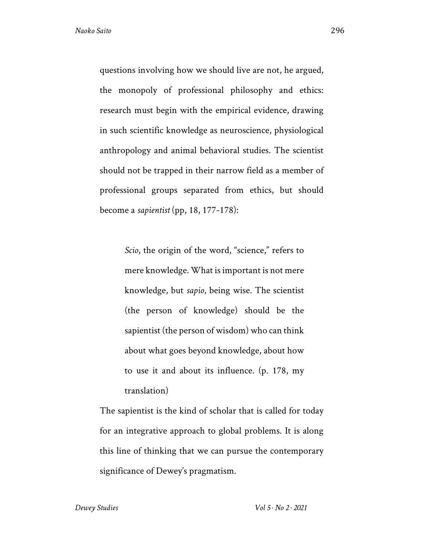questions involving how we should live are not, he argued, the monopoly of professional philosophy and ethics: research must begin with the empirical evidence, drawing in such scientific knowledge as neuroscience, physiological anthropology and animal behavioral studies. The scientist should not be trapped in their narrow field as a member of professional groups separated from ethics, but should become a *sapientist* (pp, 18, 177-178):

> *Scio*, the origin of the word, "science," refers to mere knowledge. What is important is not mere knowledge, but *sapio*, being wise. The scientist (the person of knowledge) should be the sapientist (the person of wisdom) who can think about what goes beyond knowledge, about how to use it and about its influence. (p. 178, my translation)

The sapientist is the kind of scholar that is called for today for an integrative approach to global problems. It is along this line of thinking that we can pursue the contemporary significance of Dewey's pragmatism.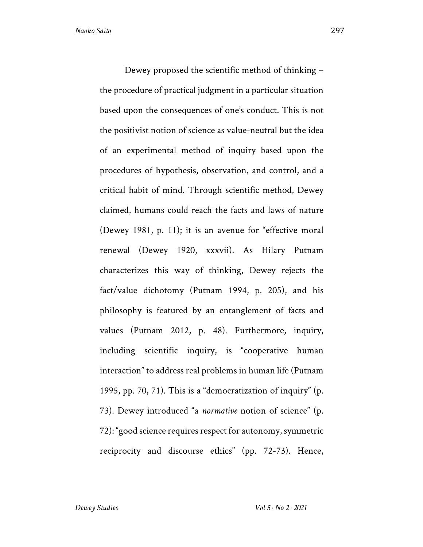Dewey proposed the scientific method of thinking – the procedure of practical judgment in a particular situation based upon the consequences of one's conduct. This is not the positivist notion of science as value-neutral but the idea of an experimental method of inquiry based upon the procedures of hypothesis, observation, and control, and a critical habit of mind. Through scientific method, Dewey claimed, humans could reach the facts and laws of nature (Dewey 1981, p. 11); it is an avenue for "effective moral renewal (Dewey 1920, xxxvii). As Hilary Putnam characterizes this way of thinking, Dewey rejects the fact/value dichotomy (Putnam 1994, p. 205), and his philosophy is featured by an entanglement of facts and values (Putnam 2012, p. 48). Furthermore, inquiry, including scientific inquiry, is "cooperative human interaction" to address real problems in human life (Putnam 1995, pp. 70, 71). This is a "democratization of inquiry" (p. 73). Dewey introduced "a *normative* notion of science" (p. 72): "good science requires respect for autonomy, symmetric reciprocity and discourse ethics" (pp. 72-73). Hence,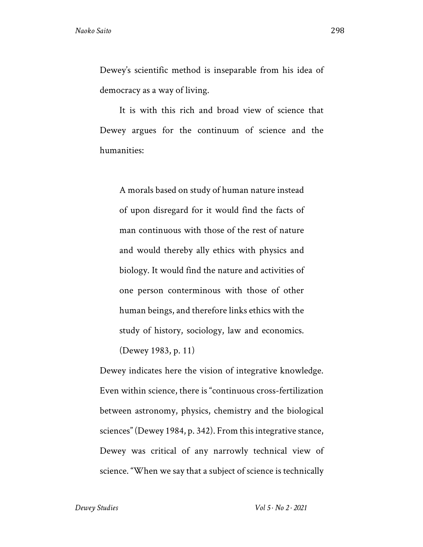Dewey's scientific method is inseparable from his idea of democracy as a way of living.

It is with this rich and broad view of science that Dewey argues for the continuum of science and the humanities:

A morals based on study of human nature instead of upon disregard for it would find the facts of man continuous with those of the rest of nature and would thereby ally ethics with physics and biology. It would find the nature and activities of one person conterminous with those of other human beings, and therefore links ethics with the study of history, sociology, law and economics.

(Dewey 1983, p. 11)

Dewey indicates here the vision of integrative knowledge. Even within science, there is "continuous cross-fertilization between astronomy, physics, chemistry and the biological sciences" (Dewey 1984, p. 342). From this integrative stance, Dewey was critical of any narrowly technical view of science. "When we say that a subject of science is technically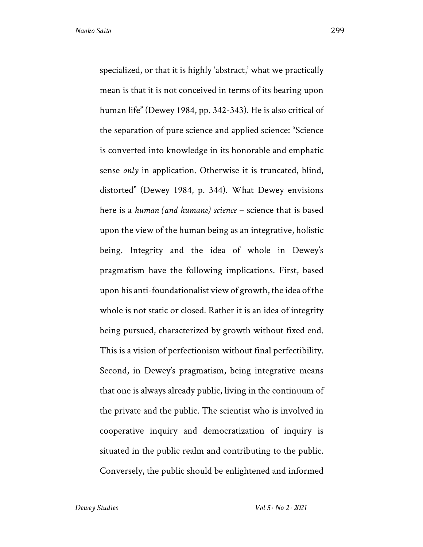specialized, or that it is highly 'abstract,' what we practically mean is that it is not conceived in terms of its bearing upon human life" (Dewey 1984, pp. 342-343). He is also critical of the separation of pure science and applied science: "Science is converted into knowledge in its honorable and emphatic sense *only* in application. Otherwise it is truncated, blind, distorted" (Dewey 1984, p. 344). What Dewey envisions here is a *human (and humane) science* – science that is based upon the view of the human being as an integrative, holistic being. Integrity and the idea of whole in Dewey's pragmatism have the following implications. First, based upon his anti-foundationalist view of growth, the idea of the whole is not static or closed. Rather it is an idea of integrity being pursued, characterized by growth without fixed end. This is a vision of perfectionism without final perfectibility. Second, in Dewey's pragmatism, being integrative means that one is always already public, living in the continuum of the private and the public. The scientist who is involved in cooperative inquiry and democratization of inquiry is situated in the public realm and contributing to the public. Conversely, the public should be enlightened and informed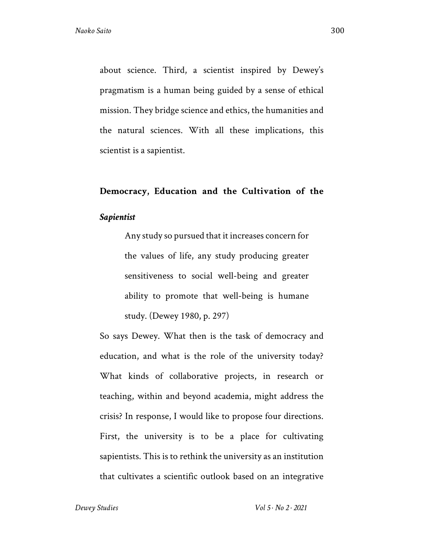about science. Third, a scientist inspired by Dewey's pragmatism is a human being guided by a sense of ethical mission. They bridge science and ethics, the humanities and the natural sciences. With all these implications, this scientist is a sapientist.

# **Democracy, Education and the Cultivation of the**  *Sapientist*

Any study so pursued that it increases concern for the values of life, any study producing greater sensitiveness to social well-being and greater ability to promote that well-being is humane study. (Dewey 1980, p. 297)

So says Dewey. What then is the task of democracy and education, and what is the role of the university today? What kinds of collaborative projects, in research or teaching, within and beyond academia, might address the crisis? In response, I would like to propose four directions. First, the university is to be a place for cultivating sapientists. This is to rethink the university as an institution that cultivates a scientific outlook based on an integrative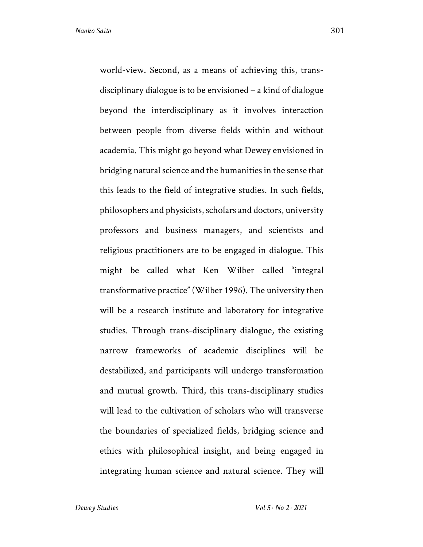world-view. Second, as a means of achieving this, transdisciplinary dialogue is to be envisioned – a kind of dialogue beyond the interdisciplinary as it involves interaction between people from diverse fields within and without academia. This might go beyond what Dewey envisioned in

bridging natural science and the humanities in the sense that this leads to the field of integrative studies. In such fields, philosophers and physicists, scholars and doctors, university professors and business managers, and scientists and religious practitioners are to be engaged in dialogue. This might be called what Ken Wilber called "integral transformative practice" (Wilber 1996). The university then will be a research institute and laboratory for integrative studies. Through trans-disciplinary dialogue, the existing narrow frameworks of academic disciplines will be destabilized, and participants will undergo transformation and mutual growth. Third, this trans-disciplinary studies will lead to the cultivation of scholars who will transverse the boundaries of specialized fields, bridging science and ethics with philosophical insight, and being engaged in integrating human science and natural science. They will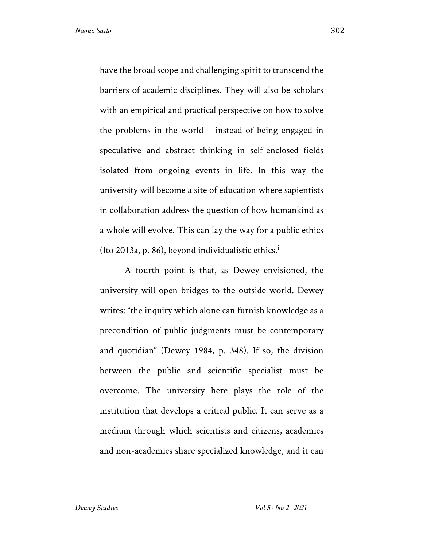have the broad scope and challenging spirit to transcend the barriers of academic disciplines. They will also be scholars with an empirical and practical perspective on how to solve the problems in the world – instead of being engaged in speculative and abstract thinking in self-enclosed fields isolated from ongoing events in life. In this way the university will become a site of education where sapientists in collaboration address the question of how humankind as a whole will evolve. This can lay the way for a public ethics (Ito 2013a, p. 86), beyond individualistic ethics.<sup>1</sup>

A fourth point is that, as Dewey envisioned, the university will open bridges to the outside world. Dewey writes: "the inquiry which alone can furnish knowledge as a precondition of public judgments must be contemporary and quotidian" (Dewey 1984, p. 348). If so, the division between the public and scientific specialist must be overcome. The university here plays the role of the institution that develops a critical public. It can serve as a medium through which scientists and citizens, academics and non-academics share specialized knowledge, and it can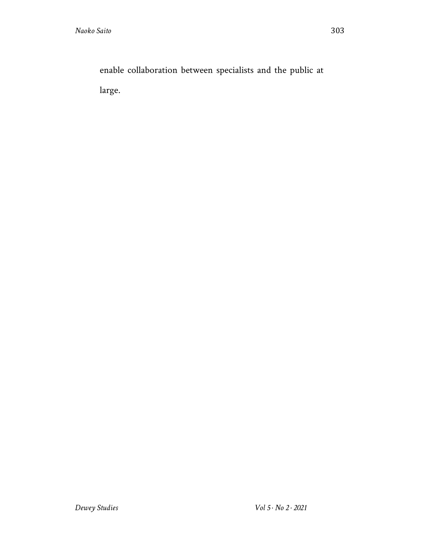enable collaboration between specialists and the public at large.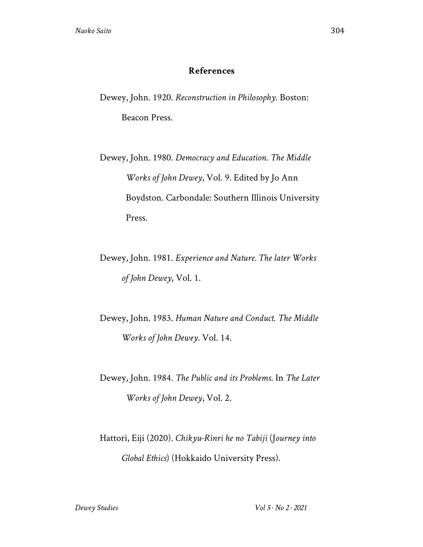## **References**

Dewey, John. 1920. *Reconstruction in Philosophy*. Boston: Beacon Press.

Dewey, John. 1980. *Democracy and Education*. *The Middle Works of John Dewey*, Vol. 9. Edited by Jo Ann Boydston. Carbondale: Southern Illinois University Press.

Dewey, John. 1981. *Experience and Nature. The later Works of John Dewey*, Vol. 1.

Dewey, John. 1983. *Human Nature and Conduct*. *The Middle Works of John Dewey*. Vol. 14.

Dewey, John. 1984. *The Public and its Problems*. In *The Later Works of John Dewey*, Vol. 2.

Hattori, Eiji (2020). *Chikyu-Rinri he no Tabiji* (J*ourney into Global Ethics*) (Hokkaido University Press).